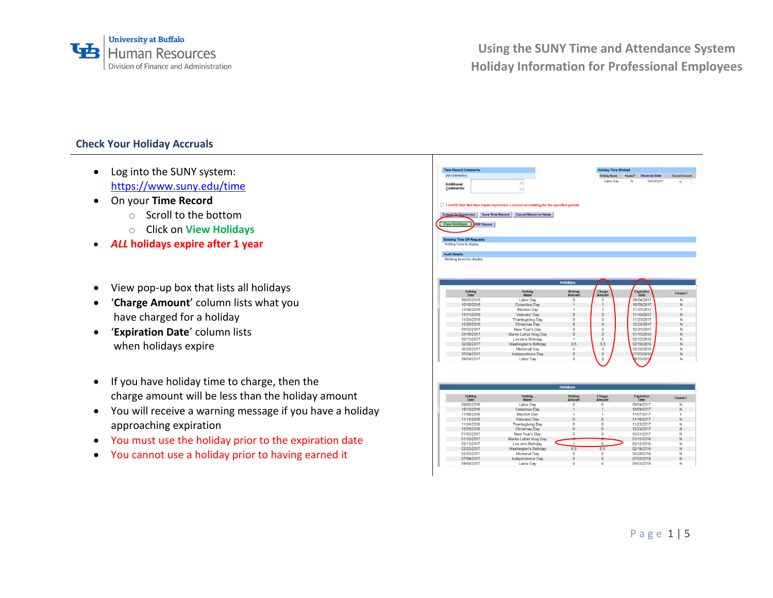

### **Check Your Holiday Accruals**

- Log into the SUNY system: <https://www.suny.edu/time>
- On your **Time Record**
	- o Scroll to the bottom
	- o Click on **View Holidays**
- *ALL* **holidays expire after 1 year**
- View pop-up box that lists all holidays
- '**Charge Amount**' column lists what you have charged for a holiday
- '**Expiration Date**' column lists when holidays expire
- If you have holiday time to charge, then the charge amount will be less than the holiday amount
- You will receive a warning message if you have a holiday approaching expiration
- You must use the holiday prior to the expiration date
- You cannot use a holiday prior to having earned it

| [No Comments.]                                                                                      |                                                                                                                           |                          | <b>Holiday Time Worked</b> |          |                         |                      |
|-----------------------------------------------------------------------------------------------------|---------------------------------------------------------------------------------------------------------------------------|--------------------------|----------------------------|----------|-------------------------|----------------------|
|                                                                                                     |                                                                                                                           |                          | <b>Holiday Name</b>        | Floater? | <b>Observed Date</b>    | <b>Earned Amount</b> |
| <b>Additional</b><br><b>Comments:</b>                                                               | $\hat{\mathcal{E}}$<br>$\overline{\phantom{a}}$                                                                           |                          | Labor Day                  | N        | 09/04/2017              | $\alpha$             |
| <b>Submit To Supervisor</b><br><b>Save Time Record</b><br><b>View Holidays</b><br><b>PDF Report</b> | I certify that this time report represents a correct accounting for the specified period.<br><b>Cancel/Return to Home</b> |                          |                            |          |                         |                      |
|                                                                                                     |                                                                                                                           |                          |                            |          |                         |                      |
| <b>Existing Time Off Requests</b>                                                                   |                                                                                                                           |                          |                            |          |                         |                      |
| Nothing found to display.                                                                           |                                                                                                                           |                          |                            |          |                         |                      |
|                                                                                                     |                                                                                                                           |                          |                            |          |                         |                      |
| <b>Audit Details</b>                                                                                |                                                                                                                           |                          |                            |          |                         |                      |
| Nothing found to display.                                                                           |                                                                                                                           |                          |                            |          |                         |                      |
|                                                                                                     |                                                                                                                           |                          |                            |          |                         |                      |
|                                                                                                     |                                                                                                                           |                          |                            |          |                         |                      |
|                                                                                                     |                                                                                                                           |                          |                            |          |                         |                      |
|                                                                                                     |                                                                                                                           |                          |                            |          |                         |                      |
|                                                                                                     |                                                                                                                           | <b>Holidays</b>          |                            |          |                         |                      |
|                                                                                                     |                                                                                                                           |                          |                            |          |                         |                      |
| Holiday<br>Date                                                                                     | Holiday<br><b>Name</b>                                                                                                    | Holiday<br>Amount        | Charge<br>Amount           |          | Expiration<br>Date      | Floater?             |
| 09/05/2016                                                                                          | <b>Labor Day</b>                                                                                                          | 0                        | $\mathbf{0}$               |          | 09/04/2017              | N                    |
| 10/10/2016                                                                                          | Columbus Dav                                                                                                              | 1                        | 1                          |          | 10/09/2017              | N                    |
| 11/08/2016                                                                                          | <b>Election Day</b>                                                                                                       | 1                        | 1                          |          | 11/07/2017              | Y                    |
| 11/11/2016                                                                                          | Veterans' Dav                                                                                                             | $\mathbf{0}$             | $\mathbf{0}$               |          | 11/10/2017              | N                    |
| 11/24/2016                                                                                          |                                                                                                                           | $\mathbf{0}$             | $\overline{0}$             |          | 11/23/2017              | N                    |
| 12/26/2016                                                                                          | <b>Thanksgiving Day</b>                                                                                                   | $\mathbf{0}$             | $\mathbf{0}$               |          | 12/24/2017              | N                    |
| 01/02/2017                                                                                          | <b>Christmas Day</b>                                                                                                      | $\theta$                 | $\Omega$                   |          | 12/31/2017              | N                    |
|                                                                                                     | New Year's Day                                                                                                            |                          |                            |          |                         |                      |
| 01/16/2017                                                                                          | Martin Luther King Day                                                                                                    | $\mathbf{0}$             | $\mathbf{0}$               |          | 01/15/2018              | N                    |
| 02/13/2017                                                                                          | <b>Lincoln's Birthday</b>                                                                                                 | 1                        | $\mathbf{0}$               |          | 02/12/2018              | N                    |
| 02/20/2017                                                                                          | <b>Washington's Birthday</b>                                                                                              | 0.5                      | 0.5                        |          | 02/19/2018              | N                    |
| 05/29/2017                                                                                          | <b>Memorial Dav</b>                                                                                                       | $\mathbf 0$              | $\bf{0}$                   |          | 05/28/2018              | N                    |
| 07/04/2017<br>09/04/2017                                                                            | Independence Day<br>Labor Day                                                                                             | $\bf{0}$<br>$\mathbf{0}$ | $\bf{0}$<br>$\mathbf{0}$   |          | 07/03/2018<br>9/03/2012 | N<br>N               |

11/08/2016<br>11/11/2016

11/24/2016

01/02/2017<br>01/16/2017

02/13/2017

05/29/2017

07/04/2017

09/04/2017

Election Day<br>Veterans' Day

Thanksgiving Day<br>Christmas Day

New Year's Day<br>Martin Luther King Day

Lincoln's Birthday<br>Vashington's Birthday

Memorial Day

Independence Day

Labor Day

11/07/2017<br>11/10/2017

11/23/2017<br>12/24/2017

12/31/2017 01/15/2018

02/12/2018

05/28/2018

07/03/2018

09/03/2018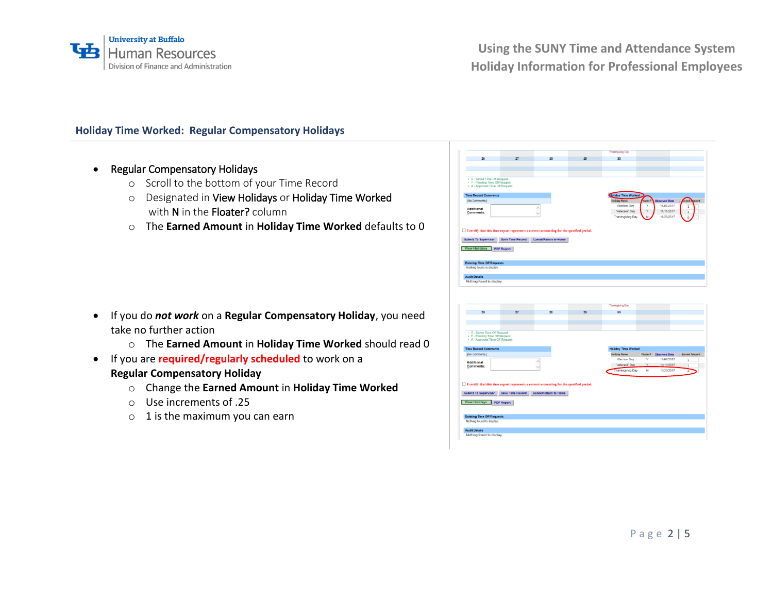

# **Holiday Time Worked: Regular Compensatory Holidays**

- Regular Compensatory Holidays
	- o Scroll to the bottom of your Time Record
	- o Designated in View Holidays or Holiday Time Worked with N in the Floater? column
	- o The **Earned Amount** in **Holiday Time Worked** defaults to 0

- If you do *not work* on a **Regular Compensatory Holiday**, you need take no further action
	- o The **Earned Amount** in **Holiday Time Worked** should read 0
- If you are **required/regularly scheduled** to work on a **Regular Compensatory Holiday**
	- o Change the **Earned Amount** in **Holiday Time Worked**
	- o Use increments of .25
	- $\circ$  1 is the maximum you can earn

|                                                                                                     | 27 | 28                                                                                               | 29 | 30                         |   |                          |                      |
|-----------------------------------------------------------------------------------------------------|----|--------------------------------------------------------------------------------------------------|----|----------------------------|---|--------------------------|----------------------|
|                                                                                                     |    |                                                                                                  |    |                            |   |                          |                      |
|                                                                                                     |    |                                                                                                  |    |                            |   |                          |                      |
| · S - Saved Time Off Request<br>· P - Pending Time Off Request.<br>. A - Approved Time Off Request. |    |                                                                                                  |    |                            |   |                          |                      |
| <b>Time Record Comments</b>                                                                         |    |                                                                                                  |    | oliday Time Worked         |   |                          |                      |
| [No Comments.]                                                                                      |    |                                                                                                  |    | <b>Ioliday Name</b>        |   | <b>Observed Date</b>     |                      |
| Additional                                                                                          |    | ۸                                                                                                |    | <b>Election Day</b>        | Y | 11/07/2017               | в                    |
| Comments:                                                                                           |    | $\overline{\phantom{a}}$                                                                         |    | Veterans' Day              |   | 11/11/2017<br>11/23/2017 | 1                    |
|                                                                                                     |    |                                                                                                  |    | Thanksgiving Day           |   |                          |                      |
|                                                                                                     |    |                                                                                                  |    |                            |   |                          |                      |
|                                                                                                     |    | $\Box$ I certify that this time report represents a correct accounting for the specified period. |    |                            |   |                          |                      |
|                                                                                                     |    | Submit To Supervisor Save Time Record Cancel/Return to Home                                      |    |                            |   |                          |                      |
| View Holidays PDF Report                                                                            |    |                                                                                                  |    |                            |   |                          |                      |
|                                                                                                     |    |                                                                                                  |    |                            |   |                          |                      |
|                                                                                                     |    |                                                                                                  |    |                            |   |                          |                      |
| <b>Existing Time Off Requests</b>                                                                   |    |                                                                                                  |    |                            |   |                          |                      |
| Nothing found to display.                                                                           |    |                                                                                                  |    |                            |   |                          |                      |
| <b>Audit Details</b>                                                                                |    |                                                                                                  |    |                            |   |                          |                      |
| Nothing found to display.                                                                           |    |                                                                                                  |    |                            |   |                          |                      |
|                                                                                                     |    |                                                                                                  |    |                            |   |                          |                      |
|                                                                                                     |    |                                                                                                  |    |                            |   |                          |                      |
|                                                                                                     |    |                                                                                                  |    | Thanksgiving Day           |   |                          |                      |
| 26                                                                                                  | 27 | 28                                                                                               | 29 | 30                         |   |                          |                      |
|                                                                                                     |    |                                                                                                  |    |                            |   |                          |                      |
|                                                                                                     |    |                                                                                                  |    |                            |   |                          |                      |
| · S - Saved Time Off Request.<br>· P - Pending Time Off Request.                                    |    |                                                                                                  |    |                            |   |                          |                      |
| • A - Approved Time Off Request.                                                                    |    |                                                                                                  |    |                            |   |                          |                      |
| <b>Time Record Comments</b>                                                                         |    |                                                                                                  |    | <b>Holiday Time Worked</b> |   |                          |                      |
| [No Comments.]                                                                                      |    |                                                                                                  |    | <b>Holiday Name</b>        |   | Floater? Observed Date   |                      |
|                                                                                                     |    | $\hat{\phantom{a}}$                                                                              |    | <b>Election Day</b>        | Y | 11/07/2017               | $\overline{1}$       |
| Additional<br>Comments:                                                                             |    | W                                                                                                |    | Veterans' Day              | v | 11/11/2017               | $\mathbf{1}$         |
|                                                                                                     |    |                                                                                                  |    | Thanksgiving Day           | N | 11/23/2017               | $\overline{0}$       |
|                                                                                                     |    |                                                                                                  |    |                            |   |                          |                      |
|                                                                                                     |    | $\Box$ I certify that this time report represents a correct accounting for the specified period. |    |                            |   |                          |                      |
|                                                                                                     |    |                                                                                                  |    |                            |   |                          |                      |
|                                                                                                     |    | Submit To Supervisor   Save Time Record   Cancel/Return to Home                                  |    |                            |   |                          |                      |
|                                                                                                     |    |                                                                                                  |    |                            |   |                          |                      |
| View Holidays PDF Report                                                                            |    |                                                                                                  |    |                            |   |                          |                      |
|                                                                                                     |    |                                                                                                  |    |                            |   |                          | <b>Earned Amount</b> |
| <b>Existing Time Off Requests</b>                                                                   |    |                                                                                                  |    |                            |   |                          |                      |
| Nothing found to display.                                                                           |    |                                                                                                  |    |                            |   |                          |                      |
| <b>Audit Details</b>                                                                                |    |                                                                                                  |    |                            |   |                          |                      |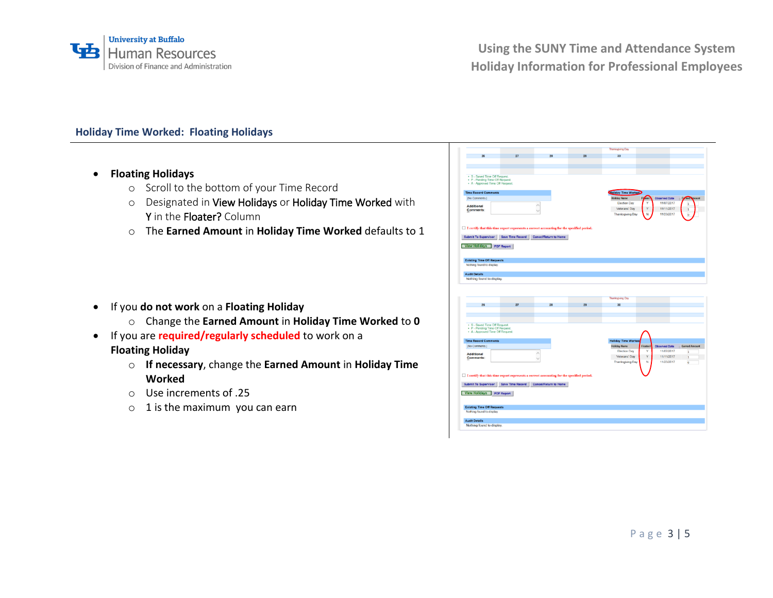

# **Holiday Time Worked: Floating Holidays**

- **Floating Holidays**
	- o Scroll to the bottom of your Time Record
	- o Designated in View Holidays or Holiday Time Worked with Y in the Floater? Column
	- o The **Earned Amount** in **Holiday Time Worked** defaults to 1

- If you **do not work** on a **Floating Holiday**
	- o Change the **Earned Amount** in **Holiday Time Worked** to **0**
- If you are **required/regularly scheduled** to work on a **Floating Holiday**
	- o **If necessary**, change the **Earned Amount** in **Holiday Time Worked**
	- o Use increments of .25
	- $\circ$  1 is the maximum you can earn

| 26                                                                  | 27 | 28                                                                                          | 29 | 30                         |                                                          |
|---------------------------------------------------------------------|----|---------------------------------------------------------------------------------------------|----|----------------------------|----------------------------------------------------------|
|                                                                     |    |                                                                                             |    |                            |                                                          |
|                                                                     |    |                                                                                             |    |                            |                                                          |
|                                                                     |    |                                                                                             |    |                            |                                                          |
| · S - Saved Time Off Request.                                       |    |                                                                                             |    |                            |                                                          |
| · P - Pending Time Off Request.<br>. A - Approved Time Off Request. |    |                                                                                             |    |                            |                                                          |
|                                                                     |    |                                                                                             |    |                            |                                                          |
| <b>Time Record Comments</b>                                         |    |                                                                                             |    | oliday Time Worked         |                                                          |
| [No Comments.]                                                      |    |                                                                                             |    | <b>Holiday Name</b>        | Flyater <sub>1</sub><br><b>Observed Date</b>             |
| Additional                                                          |    | ٨                                                                                           |    | <b>Election Day</b>        | 11/07/2017                                               |
| Comments:                                                           |    |                                                                                             |    | Veterans' Day              | Y<br>11/11/2017<br>1                                     |
|                                                                     |    |                                                                                             |    | Thanksgiving Day           | 11/23/2017<br>N<br>$\overline{0}$                        |
|                                                                     |    |                                                                                             |    |                            |                                                          |
|                                                                     |    | □ I certify that this time report represents a correct accounting for the specified period. |    |                            |                                                          |
|                                                                     |    |                                                                                             |    |                            |                                                          |
|                                                                     |    | Submit To Supervisor   Save Time Record   Cancel/Return to Home                             |    |                            |                                                          |
|                                                                     |    |                                                                                             |    |                            |                                                          |
| View Holidays PDF Report                                            |    |                                                                                             |    |                            |                                                          |
|                                                                     |    |                                                                                             |    |                            |                                                          |
| <b>Existing Time Off Requests</b>                                   |    |                                                                                             |    |                            |                                                          |
| Nothing found to display.                                           |    |                                                                                             |    |                            |                                                          |
|                                                                     |    |                                                                                             |    |                            |                                                          |
| <b>Audit Details</b>                                                |    |                                                                                             |    |                            |                                                          |
| Nothing found to display.                                           |    |                                                                                             |    |                            |                                                          |
|                                                                     |    |                                                                                             |    |                            |                                                          |
|                                                                     |    |                                                                                             |    | Thanksgiving Day           |                                                          |
| 26                                                                  | 27 | 28                                                                                          | 29 | 30                         |                                                          |
|                                                                     |    |                                                                                             |    |                            |                                                          |
|                                                                     |    |                                                                                             |    |                            |                                                          |
| . S - Saved Time Off Request.                                       |    |                                                                                             |    |                            |                                                          |
| · P - Pending Time Off Request.                                     |    |                                                                                             |    |                            |                                                          |
| · A - Approved Time Off Request.                                    |    |                                                                                             |    |                            |                                                          |
|                                                                     |    |                                                                                             |    | <b>Holiday Time Worked</b> |                                                          |
| <b>Time Record Comments</b><br>[No Comments.]                       |    |                                                                                             |    | <b>Holiday Name</b>        | <b>Earned Amount</b><br>Floater?<br><b>Observed Date</b> |
|                                                                     |    | ۸                                                                                           |    | <b>Election Day</b>        | Y<br>11/07/2017<br>ī                                     |
| <b>Additional</b><br>Comments:                                      |    |                                                                                             |    | Veterans' Day              | Υ<br>11/11/2017<br>ı                                     |
|                                                                     |    |                                                                                             |    | <b>Thanksgiving Day</b>    | 11/23/2017<br>N<br>$\overline{0}$                        |
|                                                                     |    |                                                                                             |    |                            |                                                          |
|                                                                     |    |                                                                                             |    |                            |                                                          |
|                                                                     |    | □ I certify that this time report represents a correct accounting for the specified period. |    |                            |                                                          |
| <b>Submit To Supervisor</b>                                         |    | Save Time Record   Cancel/Return to Home                                                    |    |                            |                                                          |
|                                                                     |    |                                                                                             |    |                            |                                                          |
| View Holidays PDF Report                                            |    |                                                                                             |    |                            |                                                          |
|                                                                     |    |                                                                                             |    |                            |                                                          |
|                                                                     |    |                                                                                             |    |                            |                                                          |
| <b>Existing Time Off Requests</b>                                   |    |                                                                                             |    |                            |                                                          |
| Nothing found to display.                                           |    |                                                                                             |    |                            |                                                          |
| <b>Audit Details</b><br>Nothing found to display.                   |    |                                                                                             |    |                            |                                                          |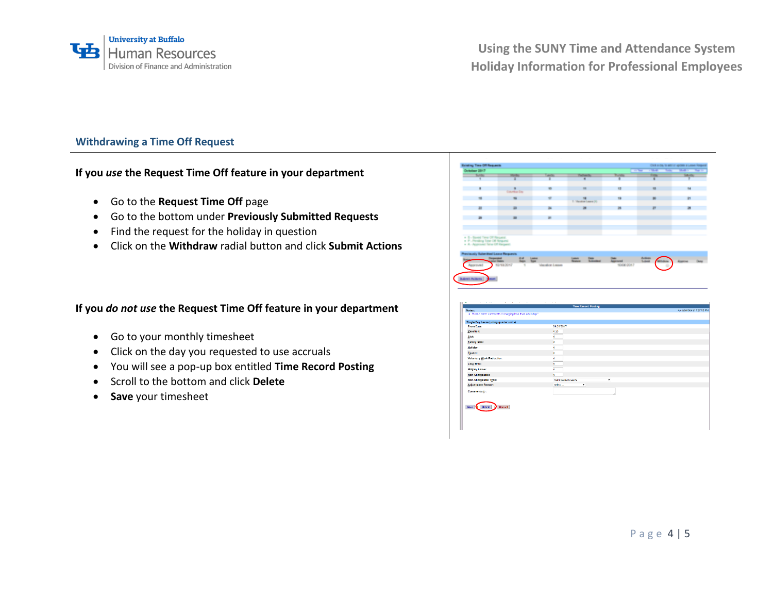

## **Withdrawing a Time Off Request**

**If you** *use* **the Request Time Off feature in your department**

- Go to the **Request Time Off** page
- Go to the bottom under **Previously Submitted Requests**
- Find the request for the holiday in question
- Click on the **Withdraw** radial button and click **Submit Actions**

#### **If you** *do not use* **the Request Time Off feature in your department**

- Go to your monthly timesheet
- Click on the day you requested to use accruals
- You will see a pop-up box entitled **Time Record Posting**
- Scroll to the bottom and click **Delete**
- **Save** your timesheet



|                                                            | <b>Time Record Posting</b> |                            |
|------------------------------------------------------------|----------------------------|----------------------------|
| Notes:                                                     |                            | As submitted at 1:27:30 PM |
| . Please enter comments if charging less than a full day." |                            |                            |
| Single Day Leave (using quarter units)                     |                            |                            |
| From Date:                                                 | 09/26/2017                 |                            |
| Vacation:                                                  | 0.25                       |                            |
| Sick:                                                      | ۰                          |                            |
| Eamily Sick:                                               | o.                         |                            |
| Holiday:                                                   | o.                         |                            |
| Floater:                                                   | o.                         |                            |
| <b>Voluntary Work Reduction:</b>                           | o                          |                            |
| Lost Time:                                                 | ۰                          |                            |
| Military Leave:                                            | ö                          |                            |
| Non-Chargeable:                                            | ö.                         |                            |
| Non-Chargeable Type:                                       | Administrative Leave<br>٠  |                            |
| <b>Adjustment Reason:</b>                                  | Select<br>$\bullet$        |                            |
| Comments (j):                                              |                            |                            |
|                                                            |                            |                            |